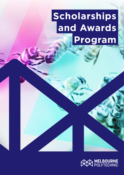# **Scholarships and Awards Program**

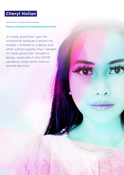# **Cheryl Holian**

Certificate IV in Allied Health Assistance

**Materials and Equipment Scholarship Recipient 2020**

*'It's really good that I got the scholarship because it assists my studies. I invested in a laptop and other school supplies that I needed. It's really good that I bought a laptop, especially in this COVID pandemic while we're more on remote learning.'*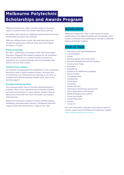# **Melbourne Polytechnic Scholarships and Awards Program**

Melbourne Polytechnic offers a diverse range of innovative, hands-on practical skills and modern theoretical learning.

We partner with industry to challenge existing training practices and develop innovative new methods.

Offering a different way to learn. We have been delivering vocational training since 1912 and we're one of the largest providers in Victoria.

#### **Practical learning**

We offer a wide range of innovative TAFE (VET) and Higher Education (Degrees) that prepare students for the workplace. With courses that focus on practical skills and hands-on experience, our students graduate with the knowledge they need to thrive in their careers.

#### **Teachers from industry**

Our teachers are passionate and established in their professions and they're here to guide students in theirs. We know that circumstances can create barriers to learning, so we offer our students personalised pathways, flexible study options and learning support.

#### **Excellent training facilities**

Our campuses boast some of the best training facilities in Australia. Many of our classrooms and workshops simulate real-work environments. In many courses, students have an opportunity to provide services to the public and industry while learning.

Melbourne Polytechnic locations: Preston, Fairfield, Epping, Heidelberg, Greensborough, Prahran, Collingwood, Northern Lodge at Eden Park and Northern Lodge at Yan Yean.

## **Qualifications**

Melbourne Polytechnic offer a wide variety of course qualifications from apprenticeships and traineeships, short courses, certificate level qualifications, through to Diploma, Degree and Master Degrees.

## **Areas of Study**

- ▶ Agriculture and Land Management
- ▶ Animal Studies
- $\blacktriangleright$  Auslan
- ▶ Building Design and Construction
- **Business Management and Accounting**
- ▶ Construction Trades
- **Education**
- **Engineering**
- **English as an Additional Language**
- ▶ Equine Studies
- $\blacktriangleright$  Foundation Skills
- $\blacktriangleright$  Hairdressing
- $\blacktriangleright$  Horticulture
- **A** Hospitality
- **EXECUTE:** Human Services
- **Information Technology and Security**
- Music Performance and Industry
- ▶ Retail Wholesale and Logistics
- Screen and Media
- ▶ Sound Production
- $\blacktriangleright$  Theatre
- $\blacktriangleright$  Visual Art

For more information, narrower study areas or specific courses, please view the Melbourne Polytechnic website: [www.melbournepolytechnic.edu.au](http://www.melbournepolytechnic.edu.au)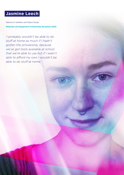# **Jasmine Leech**

Diploma of Jewellery and Object Design

**Materials and Equipment Scholarship Recipient 2020**

*'I probably wouldn't be able to do stuff at home as much if I hadn't gotten the scholarship, because we've got tools available at school that we're able to use but if I wasn't able to afford my own I wouldn't be able to do stuff at home.'*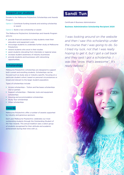## **Support our students**

Donate to the Melbourne Polytechnic Scholarships and Awards Program.

Option 1: Contribute funding towards and existing scholarship or award

Option 2: Build a new scholarship or award

The Melbourne Polytechnic Scholarships and Awards Program aims to:

- $\blacktriangleright$  provide financial assistance to help students meet their education and equipment costs
- ` encourage students to undertake further study at Melbourne Polytechnic
- $\blacktriangleright$  reward students who excel in their studies
- assist students relocating from interstate or regional areas
- increase student awareness of industry businesses
- provide students and businesses with networking opportunities.

## **Scholarships**

Melbourne Polytechnic scholarships are designed to support both current and enrolling students. Scholarships can be focused such as study area or industry specific, focusing on a particular student cohort, based on personal circumstances or broad and relevant to the larger student population.

Types of scholarships include:

- ` Access scholarships Tuition and fee bases scholarships (full or partial)
- Support scholarships Materials, tools and equipment scholarships
- ` Housing and accommodation scholarships
- Study Tour scholarships
- ` Other scholarships

### **Awards**

Melbourne Polytechnic offer a number of awards supported by industry and generous sponsors.

Each year Melbourne Polytechnic celebrates our most outstanding students through the Outstanding Student of the Year Awards. This annual tradition sees a select group of students recognised for their attitude and academic achievement during their time with us.

# **Sandi Tun**

Certificate III Business Administration

#### **Business Administration Scholarship Recipient 2020**

*'I was looking around on the website and then I saw this scholarship under the course that I was going to do. So I tried my luck, not that I was really hoping to get it, but I got a call back and they said I got a scholarship. I was like "wow, that's awesome". It's really helped.'*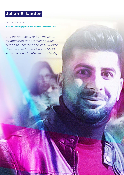# **Julian Eskander**

Certificate III in Barbering

**Materials and Equipment Scholarship Recipient 2020**

*The upfront costs to buy the setup kit appeared to be a major hurdle but on the advice of his case worker, Julian applied for and won a \$500 equipment and materials scholarship.*

6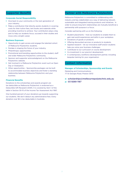# **Supporter Benefits**

#### **Corporate Social Responsibility**

- $\triangleright$  Give back to your community or the next generation of your industry.
- Make a contribution that directly assists students in covering costs for their tuition fees, text books and materials while providing incentive to achieve. Your contribution plays a big part to help our students focus, succeed in their studies and move onto a bright career.

#### **Business Exposure**

- $\triangleright$  Opportunity to gain access and engage the talented cohort of Melbourne Polytechnic students.
- $\blacktriangleright$  Partake in shaping the future of your industry.
- **•** Philanthropic opportunities.
- $\blacktriangleright$  Promotional and branding opportunities to the student, staff and wider Melbourne Polytechnic community.
- ▶ Sponsor and supporter acknowledgment on the Melbourne Polytechnic website.
- ▶ Get involved in a Melbourne Polytechnic event such as Open Day or Graduation.
- $\triangleright$  Other opportunities Sponsorship packages can be built to accommodate business objectives and foster a standing relationship between Melbourne Polytechnic and your business.

#### **Financial Benefits**

Donations to the scholarships and awards program are tax deductible as Melbourne Polytechnic is endorsed as a Deductible Gift Recipient (DGR). It is covered by Item 1 of the table in Section 30-15 of the Income Tax Assessment Act 1997.

One hundred percent of your donations go towards supporting our students. We don't deduct any administrative fees. Every donation over \$2 is tax deductable in Australia.

## **Partner with Melbourne Polytechnic**

Melbourne Polytechnic is committed to collaborating with industry and key stakeholders as a way of delivering relevant, sustainable and integrated training products and initiatives. In order to ensure long term relationships are mutually beneficial a partnership with purpose is a focus.

Consider partnering with us on the following:

- ` Student placements host our students to enable them to gain real-world experiences and skills in your workplace.
- Donations of goods or products.
- $\triangleright$  Offering discounted services or products to students.
- ▶ Applied research let our innovative staff and/or students help you solve your business challenges.
- ▶ Contribute to our curriculum or course development.
- ▶ Co-investment in our precinct development.
- $\blacktriangleright$  A contemporary workforce development partner, including bespoke training for your organisation.

#### **Contact Information**

**Manager of Scholarships, Sponsorship and Events** Marketing and Communications

77 St Georges Road, Preston 3072

e: scholarships@melbournepolytechnic.edu.au p: 03 9269 1187